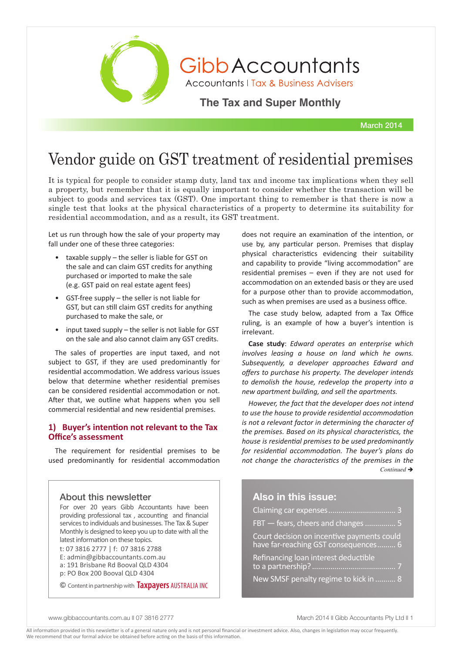

GibbAccountants

**Accountants | Tax & Business Advisers** 

**The Tax and Super Monthly** 

March 2014

# Vendor guide on GST treatment of residential premises

It is typical for people to consider stamp duty, land tax and income tax implications when they sell a property, but remember that it is equally important to consider whether the transaction will be subject to goods and services tax (GST). One important thing to remember is that there is now a single test that looks at the physical characteristics of a property to determine its suitability for residential accommodation, and as a result, its GST treatment.

Let us run through how the sale of your property may fall under one of these three categories:

- taxable supply the seller is liable for GST on the sale and can claim GST credits for anything purchased or imported to make the sale (e.g. GST paid on real estate agent fees)
- GST-free supply  $-$  the seller is not liable for GST, but can still claim GST credits for anything purchased to make the sale, or
- input taxed supply  $-$  the seller is not liable for GST on the sale and also cannot claim any GST credits.

The sales of properties are input taxed, and not subject to GST, if they are used predominantly for residential accommodation. We address various issues below that determine whether residential premises can be considered residential accommodation or not. After that, we outline what happens when you sell commercial residential and new residential premises.

### **1) Buyer's intention not relevant to the Tax Office's assessment**

The requirement for residential premises to be used predominantly for residential accommodation

# About this newsletter

For over 20 years Gibb Accountants have been providing professional tax , accounting and financial services to individuals and businesses. The Tax & Super Monthly is designed to keep you up to date with all the latest information on these topics.

t: 07 3816 2777 | f: 07 3816 2788

- E: admin@gibbaccountants.com.au a: 191 Brisbane Rd Booval QLD 4304
- p: PO Box 200 Booval QLD 4304

© Content in partnership with **Taxpayers** AUSTRALIA INC

does not require an examination of the intention, or use by, any particular person. Premises that display physical characteristics evidencing their suitability and capability to provide "living accommodation" are residential premises – even if they are not used for accommodation on an extended basis or they are used for a purpose other than to provide accommodation, such as when premises are used as a business office.

The case study below, adapted from a Tax Office ruling, is an example of how a buyer's intention is irrelevant.

**Case study**: *Edward operates an enterprise which involves leasing a house on land which he owns. Subsequently, a developer approaches Edward and offers to purchase his property. The developer intends to demolish the house, redevelop the property into a new apartment building, and sell the apartments.* 

*However, the fact that the developer does not intend to use the house to provide residential accommodation is not a relevant factor in determining the character of the premises. Based on its physical characteristics, the house is residential premises to be used predominantly for residential accommodation. The buyer's plans do not change the characteristics of the premises in the*   $Continued \rightarrow$ 

# **Also in this issue:**

| FBT - fears, cheers and changes  5                                                 |
|------------------------------------------------------------------------------------|
| Court decision on incentive payments could<br>have far-reaching GST consequences 6 |
| Refinancing loan interest deductible                                               |
| New SMSF penalty regime to kick in  8                                              |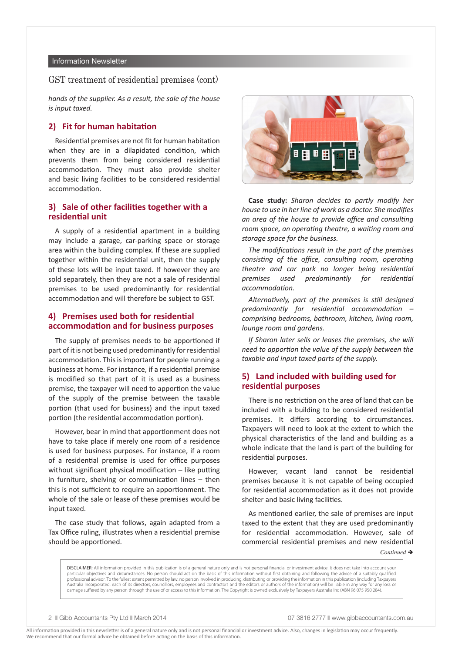#### Information Newsletter

#### GST treatment of residential premises (cont)

*hands of the supplier. As a result, the sale of the house is input taxed.*

#### **2) Fit for human habitation**

Residential premises are not fit for human habitation when they are in a dilapidated condition, which prevents them from being considered residential accommodation. They must also provide shelter and basic living facilities to be considered residential accommodation.

### **3) Sale of other facilities together with a residential unit**

A supply of a residential apartment in a building may include a garage, car-parking space or storage area within the building complex. If these are supplied together within the residential unit, then the supply of these lots will be input taxed. If however they are sold separately, then they are not a sale of residential premises to be used predominantly for residential accommodation and will therefore be subject to GST.

### **4) Premises used both for residential accommodation and for business purposes**

The supply of premises needs to be apportioned if part of it is not being used predominantly for residential accommodation. This is important for people running a business at home. For instance, if a residential premise is modified so that part of it is used as a business premise, the taxpayer will need to apportion the value of the supply of the premise between the taxable portion (that used for business) and the input taxed portion (the residential accommodation portion).

However, bear in mind that apportionment does not have to take place if merely one room of a residence is used for business purposes. For instance, if a room of a residential premise is used for office purposes without significant physical modification – like putting in furniture, shelving or communication lines – then this is not sufficient to require an apportionment. The whole of the sale or lease of these premises would be input taxed.

The case study that follows, again adapted from a Tax Office ruling, illustrates when a residential premise should be apportioned.



**Case study:** *Sharon decides to partly modify her house to use in her line of work as a doctor. She modifies an area of the house to provide office and consulting room space, an operating theatre, a waiting room and storage space for the business.* 

*The modifications result in the part of the premises consisting of the office, consulting room, operating theatre and car park no longer being residential premises used predominantly for residential accommodation.* 

*Alternatively, part of the premises is still designed predominantly for residential accommodation – comprising bedrooms, bathroom, kitchen, living room, lounge room and gardens.* 

*If Sharon later sells or leases the premises, she will need to apportion the value of the supply between the taxable and input taxed parts of the supply.* 

## **5) Land included with building used for residential purposes**

There is no restriction on the area of land that can be included with a building to be considered residential premises. It differs according to circumstances. Taxpayers will need to look at the extent to which the physical characteristics of the land and building as a whole indicate that the land is part of the building for residential purposes.

However, vacant land cannot be residential premises because it is not capable of being occupied for residential accommodation as it does not provide shelter and basic living facilities.

As mentioned earlier, the sale of premises are input taxed to the extent that they are used predominantly for residential accommodation. However, sale of commercial residential premises and new residential

*Continued* →

DISCLAIMER: All information provided in this publication is of a general nature only and is not personal financial or investment advice. It does not take into account your particular objectives and circumstances. No person should act on the basis of this information without first obtaining and following the advice of a suitably qualified professional advisor. To the fullest extent permitted by law, no person involved in producing, distributing or providing the information in this publication (including Taxpayers Australia Incorporated, each of its directors, councillors, employees and contractors and the editors or authors of the information) will be liable in any way for any loss or damage suffered by any person through the use of or access to this information. The Copyright is owned exclusively by Taxpayers Australia Inc (ABN 96 075 950 284).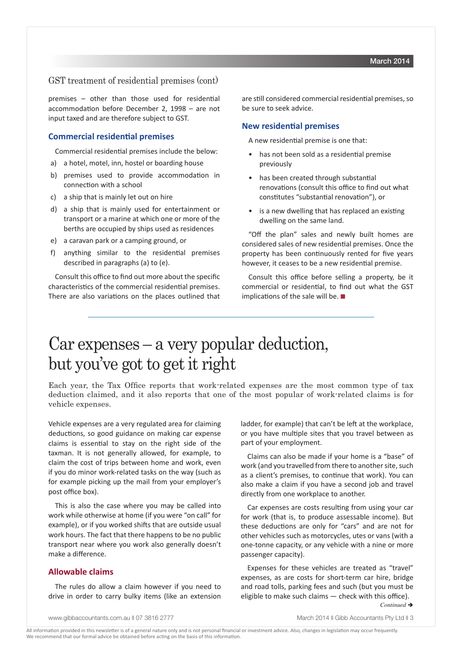### GST treatment of residential premises (cont)

premises – other than those used for residential accommodation before December 2, 1998 – are not input taxed and are therefore subject to GST.

#### **Commercial residential premises**

Commercial residential premises include the below:

- a) a hotel, motel, inn, hostel or boarding house
- b) premises used to provide accommodation in connection with a school
- c) a ship that is mainly let out on hire
- d) a ship that is mainly used for entertainment or transport or a marine at which one or more of the berths are occupied by ships used as residences
- e) a caravan park or a camping ground, or
- f) anything similar to the residential premises described in paragraphs (a) to (e).

Consult this office to find out more about the specific characteristics of the commercial residential premises. There are also variations on the places outlined that are still considered commercial residential premises, so be sure to seek advice.

#### **New residential premises**

A new residential premise is one that:

- has not been sold as a residential premise previously
- has been created through substantial renovations (consult this office to find out what constitutes "substantial renovation"), or
- is a new dwelling that has replaced an existing dwelling on the same land.

"Off the plan" sales and newly built homes are considered sales of new residential premises. Once the property has been continuously rented for five years however, it ceases to be a new residential premise.

Consult this office before selling a property, be it commercial or residential, to find out what the GST implications of the sale will be.  $\blacksquare$ 

# Car expenses – a very popular deduction, but you've got to get it right

Each year, the Tax Office reports that work-related expenses are the most common type of tax deduction claimed, and it also reports that one of the most popular of work-related claims is for vehicle expenses.

Vehicle expenses are a very regulated area for claiming deductions, so good guidance on making car expense claims is essential to stay on the right side of the taxman. It is not generally allowed, for example, to claim the cost of trips between home and work, even if you do minor work-related tasks on the way (such as for example picking up the mail from your employer's post office box).

This is also the case where you may be called into work while otherwise at home (if you were "on call" for example), or if you worked shifts that are outside usual work hours. The fact that there happens to be no public transport near where you work also generally doesn't make a difference.

#### **Allowable claims**

The rules do allow a claim however if you need to drive in order to carry bulky items (like an extension

ladder, for example) that can't be left at the workplace, or you have multiple sites that you travel between as part of your employment.

Claims can also be made if your home is a "base" of work (and you travelled from there to another site, such as a client's premises, to continue that work). You can also make a claim if you have a second job and travel directly from one workplace to another.

Car expenses are costs resulting from using your car for work (that is, to produce assessable income). But these deductions are only for "cars" and are not for other vehicles such as motorcycles, utes or vans (with a one-tonne capacity, or any vehicle with a nine or more passenger capacity).

Expenses for these vehicles are treated as "travel" expenses, as are costs for short-term car hire, bridge and road tolls, parking fees and such (but you must be eligible to make such claims — check with this office).

*Continued* è

www.gibbaccountants.com.au || 07 3816 2777 March 2014 || March 2014 || Gibb Accountants Pty Ltd || 3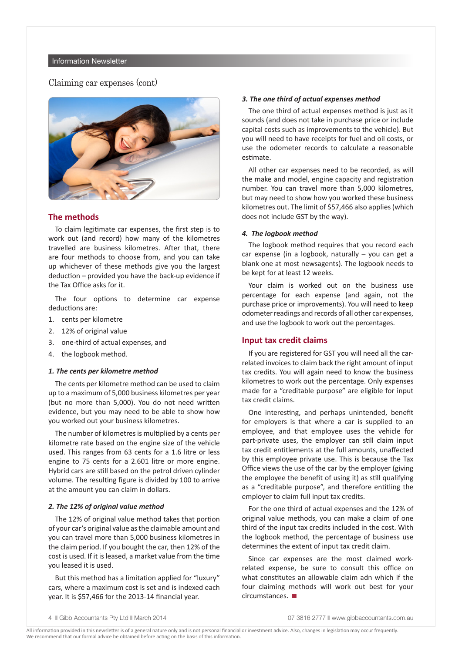### Claiming car expenses (cont)



#### **The methods**

To claim legitimate car expenses, the first step is to work out (and record) how many of the kilometres travelled are business kilometres. After that, there are four methods to choose from, and you can take up whichever of these methods give you the largest deduction – provided you have the back-up evidence if the Tax Office asks for it.

The four options to determine car expense deductions are:

- 1. cents per kilometre
- 2. 12% of original value
- 3. one-third of actual expenses, and
- 4. the logbook method.

#### *1. The cents per kilometre method*

The cents per kilometre method can be used to claim up to a maximum of 5,000 business kilometres per year (but no more than 5,000). You do not need written evidence, but you may need to be able to show how you worked out your business kilometres.

The number of kilometres is multiplied by a cents per kilometre rate based on the engine size of the vehicle used. This ranges from 63 cents for a 1.6 litre or less engine to 75 cents for a 2.601 litre or more engine. Hybrid cars are still based on the petrol driven cylinder volume. The resulting figure is divided by 100 to arrive at the amount you can claim in dollars.

#### *2. The 12% of original value method*

The 12% of original value method takes that portion of your car's original value as the claimable amount and you can travel more than 5,000 business kilometres in the claim period. If you bought the car, then 12% of the cost is used. If it is leased, a market value from the time you leased it is used.

But this method has a limitation applied for "luxury" cars, where a maximum cost is set and is indexed each year. It is \$57,466 for the 2013-14 financial year.

#### *3. The one third of actual expenses method*

The one third of actual expenses method is just as it sounds (and does not take in purchase price or include capital costs such as improvements to the vehicle). But you will need to have receipts for fuel and oil costs, or use the odometer records to calculate a reasonable estimate.

All other car expenses need to be recorded, as will the make and model, engine capacity and registration number. You can travel more than 5,000 kilometres, but may need to show how you worked these business kilometres out. The limit of \$57,466 also applies (which does not include GST by the way).

#### *4. The logbook method*

The logbook method requires that you record each car expense (in a logbook, naturally – you can get a blank one at most newsagents). The logbook needs to be kept for at least 12 weeks.

Your claim is worked out on the business use percentage for each expense (and again, not the purchase price or improvements). You will need to keep odometer readings and records of all other car expenses, and use the logbook to work out the percentages.

#### **Input tax credit claims**

If you are registered for GST you will need all the carrelated invoices to claim back the right amount of input tax credits. You will again need to know the business kilometres to work out the percentage. Only expenses made for a "creditable purpose" are eligible for input tax credit claims.

One interesting, and perhaps unintended, benefit for employers is that where a car is supplied to an employee, and that employee uses the vehicle for part-private uses, the employer can still claim input tax credit entitlements at the full amounts, unaffected by this employee private use. This is because the Tax Office views the use of the car by the employer (giving the employee the benefit of using it) as still qualifying as a "creditable purpose", and therefore entitling the employer to claim full input tax credits.

For the one third of actual expenses and the 12% of original value methods, you can make a claim of one third of the input tax credits included in the cost. With the logbook method, the percentage of business use determines the extent of input tax credit claim.

Since car expenses are the most claimed workrelated expense, be sure to consult this office on what constitutes an allowable claim adn which if the four claiming methods will work out best for your  $circumstances.$ 

<sup>4</sup> **|| Gibb Accountants Pty Ltd || March 2014 07 3816 2777 || www.gibbaccountants.com.au**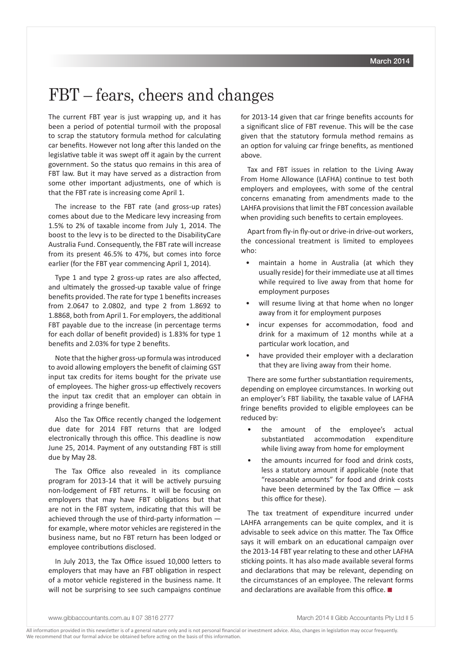# FBT – fears, cheers and changes

The current FBT year is just wrapping up, and it has been a period of potential turmoil with the proposal to scrap the statutory formula method for calculating car benefits. However not long after this landed on the legislative table it was swept off it again by the current government. So the status quo remains in this area of FBT law. But it may have served as a distraction from some other important adjustments, one of which is that the FBT rate is increasing come April 1.

The increase to the FBT rate (and gross-up rates) comes about due to the Medicare levy increasing from 1.5% to 2% of taxable income from July 1, 2014. The boost to the levy is to be directed to the DisabilityCare Australia Fund. Consequently, the FBT rate will increase from its present 46.5% to 47%, but comes into force earlier (for the FBT year commencing April 1, 2014).

Type 1 and type 2 gross-up rates are also affected, and ultimately the grossed-up taxable value of fringe benefits provided. The rate for type 1 benefits increases from 2.0647 to 2.0802, and type 2 from 1.8692 to 1.8868, both from April 1. For employers, the additional FBT payable due to the increase (in percentage terms for each dollar of benefit provided) is 1.83% for type 1 benefits and 2.03% for type 2 benefits.

Note that the higher gross-up formula was introduced to avoid allowing employers the benefit of claiming GST input tax credits for items bought for the private use of employees. The higher gross-up effectively recovers the input tax credit that an employer can obtain in providing a fringe benefit.

Also the Tax Office recently changed the lodgement due date for 2014 FBT returns that are lodged electronically through this office. This deadline is now June 25, 2014. Payment of any outstanding FBT is still due by May 28.

The Tax Office also revealed in its compliance program for 2013-14 that it will be actively pursuing non-lodgement of FBT returns. It will be focusing on employers that may have FBT obligations but that are not in the FBT system, indicating that this will be achieved through the use of third-party information for example, where motor vehicles are registered in the business name, but no FBT return has been lodged or employee contributions disclosed.

In July 2013, the Tax Office issued 10,000 letters to employers that may have an FBT obligation in respect of a motor vehicle registered in the business name. It will not be surprising to see such campaigns continue

for 2013-14 given that car fringe benefits accounts for a significant slice of FBT revenue. This will be the case given that the statutory formula method remains as an option for valuing car fringe benefits, as mentioned above.

Tax and FBT issues in relation to the Living Away From Home Allowance (LAFHA) continue to test both employers and employees, with some of the central concerns emanating from amendments made to the LAHFA provisions that limit the FBT concession available when providing such benefits to certain employees.

Apart from fly-in fly-out or drive-in drive-out workers, the concessional treatment is limited to employees who:

- maintain a home in Australia (at which they usually reside) for their immediate use at all times while required to live away from that home for employment purposes
- will resume living at that home when no longer away from it for employment purposes
- incur expenses for accommodation, food and drink for a maximum of 12 months while at a particular work location, and
- have provided their employer with a declaration that they are living away from their home.

There are some further substantiation requirements, depending on employee circumstances. In working out an employer's FBT liability, the taxable value of LAFHA fringe benefits provided to eligible employees can be reduced by:

- the amount of the employee's actual substantiated accommodation expenditure while living away from home for employment
- the amounts incurred for food and drink costs, less a statutory amount if applicable (note that "reasonable amounts" for food and drink costs have been determined by the Tax Office — ask this office for these).

The tax treatment of expenditure incurred under LAHFA arrangements can be quite complex, and it is advisable to seek advice on this matter. The Tax Office says it will embark on an educational campaign over the 2013-14 FBT year relating to these and other LAFHA sticking points. It has also made available several forms and declarations that may be relevant, depending on the circumstances of an employee. The relevant forms and declarations are available from this office.  $\blacksquare$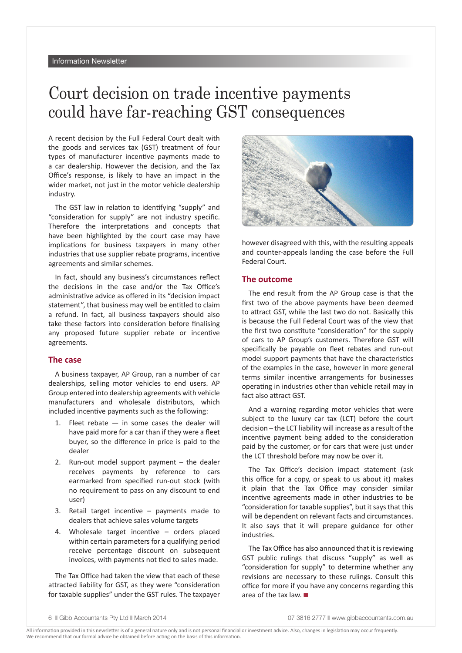# Court decision on trade incentive payments could have far-reaching GST consequences

A recent decision by the Full Federal Court dealt with the goods and services tax (GST) treatment of four types of manufacturer incentive payments made to a car dealership. However the decision, and the Tax Office's response, is likely to have an impact in the wider market, not just in the motor vehicle dealership industry.

The GST law in relation to identifying "supply" and "consideration for supply" are not industry specific. Therefore the interpretations and concepts that have been highlighted by the court case may have implications for business taxpayers in many other industries that use supplier rebate programs, incentive agreements and similar schemes.

In fact, should any business's circumstances reflect the decisions in the case and/or the Tax Office's administrative advice as offered in its "decision impact statement", that business may well be entitled to claim a refund. In fact, all business taxpayers should also take these factors into consideration before finalising any proposed future supplier rebate or incentive agreements.

#### **The case**

A business taxpayer, AP Group, ran a number of car dealerships, selling motor vehicles to end users. AP Group entered into dealership agreements with vehicle manufacturers and wholesale distributors, which included incentive payments such as the following:

- 1. Fleet rebate in some cases the dealer will have paid more for a car than if they were a fleet buyer, so the difference in price is paid to the dealer
- 2. Run-out model support payment the dealer receives payments by reference to cars earmarked from specified run-out stock (with no requirement to pass on any discount to end user)
- 3. Retail target incentive payments made to dealers that achieve sales volume targets
- 4. Wholesale target incentive orders placed within certain parameters for a qualifying period receive percentage discount on subsequent invoices, with payments not tied to sales made.

The Tax Office had taken the view that each of these attracted liability for GST, as they were "consideration for taxable supplies" under the GST rules. The taxpayer



however disagreed with this, with the resulting appeals and counter-appeals landing the case before the Full Federal Court.

#### **The outcome**

The end result from the AP Group case is that the first two of the above payments have been deemed to attract GST, while the last two do not. Basically this is because the Full Federal Court was of the view that the first two constitute "consideration" for the supply of cars to AP Group's customers. Therefore GST will specifically be payable on fleet rebates and run-out model support payments that have the characteristics of the examples in the case, however in more general terms similar incentive arrangements for businesses operating in industries other than vehicle retail may in fact also attract GST.

And a warning regarding motor vehicles that were subject to the luxury car tax (LCT) before the court decision – the LCT liability will increase as a result of the incentive payment being added to the consideration paid by the customer, or for cars that were just under the LCT threshold before may now be over it.

The Tax Office's decision impact statement (ask this office for a copy, or speak to us about it) makes it plain that the Tax Office may consider similar incentive agreements made in other industries to be "consideration for taxable supplies", but it says that this will be dependent on relevant facts and circumstances. It also says that it will prepare guidance for other industries.

The Tax Office has also announced that it is reviewing GST public rulings that discuss "supply" as well as "consideration for supply" to determine whether any revisions are necessary to these rulings. Consult this office for more if you have any concerns regarding this area of the tax law.  $\blacksquare$ 

<sup>6</sup> Cibb Accountants Pty Ltd March 2014 **07 3816 2777** N www.gibbaccountants.com.au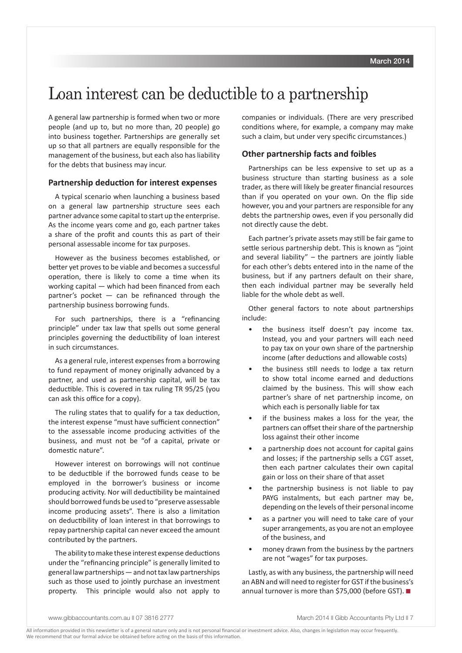# Loan interest can be deductible to a partnership

A general law partnership is formed when two or more people (and up to, but no more than, 20 people) go into business together. Partnerships are generally set up so that all partners are equally responsible for the management of the business, but each also has liability for the debts that business may incur.

#### **Partnership deduction for interest expenses**

A typical scenario when launching a business based on a general law partnership structure sees each partner advance some capital to start up the enterprise. As the income years come and go, each partner takes a share of the profit and counts this as part of their personal assessable income for tax purposes.

However as the business becomes established, or better yet proves to be viable and becomes a successful operation, there is likely to come a time when its working capital — which had been financed from each partner's pocket  $-$  can be refinanced through the partnership business borrowing funds.

For such partnerships, there is a "refinancing principle" under tax law that spells out some general principles governing the deductibility of loan interest in such circumstances.

As a general rule, interest expenses from a borrowing to fund repayment of money originally advanced by a partner, and used as partnership capital, will be tax deductible. This is covered in tax ruling TR 95/25 (you can ask this office for a copy).

The ruling states that to qualify for a tax deduction, the interest expense "must have sufficient connection" to the assessable income producing activities of the business, and must not be "of a capital, private or domestic nature".

However interest on borrowings will not continue to be deductible if the borrowed funds cease to be employed in the borrower's business or income producing activity. Nor will deductibility be maintained should borrowed funds be used to "preserve assessable income producing assets". There is also a limitation on deductibility of loan interest in that borrowings to repay partnership capital can never exceed the amount contributed by the partners.

The ability to make these interest expense deductions under the "refinancing principle" is generally limited to general law partnerships — and not tax law partnerships such as those used to jointly purchase an investment property. This principle would also not apply to companies or individuals. (There are very prescribed conditions where, for example, a company may make such a claim, but under very specific circumstances.)

### **Other partnership facts and foibles**

Partnerships can be less expensive to set up as a business structure than starting business as a sole trader, as there will likely be greater financial resources than if you operated on your own. On the flip side however, you and your partners are responsible for any debts the partnership owes, even if you personally did not directly cause the debt.

Each partner's private assets may still be fair game to settle serious partnership debt. This is known as "joint and several liability"  $-$  the partners are jointly liable for each other's debts entered into in the name of the business, but if any partners default on their share, then each individual partner may be severally held liable for the whole debt as well.

Other general factors to note about partnerships include:

- the business itself doesn't pay income tax. Instead, you and your partners will each need to pay tax on your own share of the partnership income (after deductions and allowable costs)
- the business still needs to lodge a tax return to show total income earned and deductions claimed by the business. This will show each partner's share of net partnership income, on which each is personally liable for tax
- if the business makes a loss for the year, the partners can offset their share of the partnership loss against their other income
- a partnership does not account for capital gains and losses; if the partnership sells a CGT asset, then each partner calculates their own capital gain or loss on their share of that asset
- the partnership business is not liable to pay PAYG instalments, but each partner may be, depending on the levels of their personal income
- as a partner you will need to take care of your super arrangements, as you are not an employee of the business, and
- money drawn from the business by the partners are not "wages" for tax purposes.

Lastly, as with any business, the partnership will need an ABN and will need to register for GST if the business's annual turnover is more than \$75,000 (before GST).  $\blacksquare$